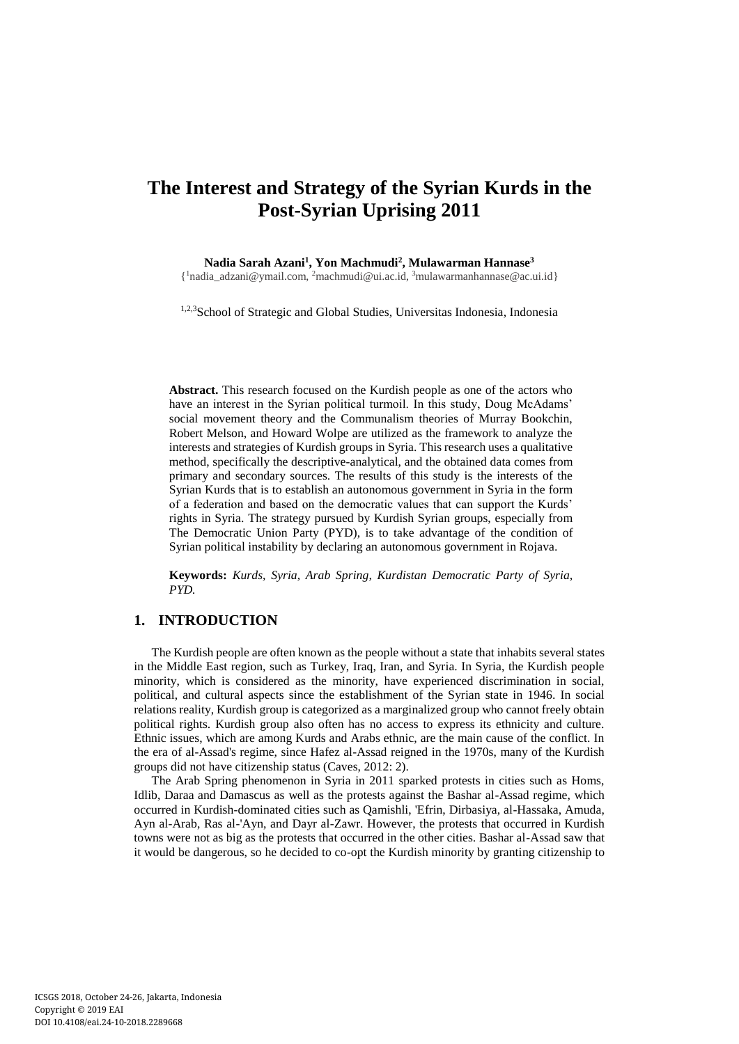# **The Interest and Strategy of the Syrian Kurds in the Post-Syrian Uprising 2011**

**Nadia Sarah Azani<sup>1</sup> , Yon Machmudi<sup>2</sup> , Mulawarman Hannase<sup>3</sup>**

{ <sup>1</sup>nadia\_adzani@ymail.com, <sup>2</sup>machmudi@ui.ac.id, <sup>3</sup>[mulawarmanhannase@ac.ui.id}](mailto:1nadia_adzani@ymail.com,%202machmudi@ui.ac.id,%203mulawarmanhannase@ac.ui.id)

1,2,3School of Strategic and Global Studies, Universitas Indonesia, Indonesia

**Abstract.** This research focused on the Kurdish people as one of the actors who have an interest in the Syrian political turmoil. In this study, Doug McAdams' social movement theory and the Communalism theories of Murray Bookchin, Robert Melson, and Howard Wolpe are utilized as the framework to analyze the interests and strategies of Kurdish groups in Syria. This research uses a qualitative method, specifically the descriptive-analytical, and the obtained data comes from primary and secondary sources. The results of this study is the interests of the Syrian Kurds that is to establish an autonomous government in Syria in the form of a federation and based on the democratic values that can support the Kurds' rights in Syria. The strategy pursued by Kurdish Syrian groups, especially from The Democratic Union Party (PYD), is to take advantage of the condition of Syrian political instability by declaring an autonomous government in Rojava.

**Keywords:** *Kurds, Syria, Arab Spring, Kurdistan Democratic Party of Syria, PYD.*

## **1. INTRODUCTION**

The Kurdish people are often known as the people without a state that inhabits several states in the Middle East region, such as Turkey, Iraq, Iran, and Syria. In Syria, the Kurdish people minority, which is considered as the minority, have experienced discrimination in social, political, and cultural aspects since the establishment of the Syrian state in 1946. In social relations reality, Kurdish group is categorized as a marginalized group who cannot freely obtain political rights. Kurdish group also often has no access to express its ethnicity and culture. Ethnic issues, which are among Kurds and Arabs ethnic, are the main cause of the conflict. In the era of al-Assad's regime, since Hafez al-Assad reigned in the 1970s, many of the Kurdish groups did not have citizenship status (Caves, 2012: 2).

The Arab Spring phenomenon in Syria in 2011 sparked protests in cities such as Homs, Idlib, Daraa and Damascus as well as the protests against the Bashar al-Assad regime, which occurred in Kurdish-dominated cities such as Qamishli, 'Efrin, Dirbasiya, al-Hassaka, Amuda, Ayn al-Arab, Ras al-'Ayn, and Dayr al-Zawr. However, the protests that occurred in Kurdish towns were not as big as the protests that occurred in the other cities. Bashar al-Assad saw that it would be dangerous, so he decided to co-opt the Kurdish minority by granting citizenship to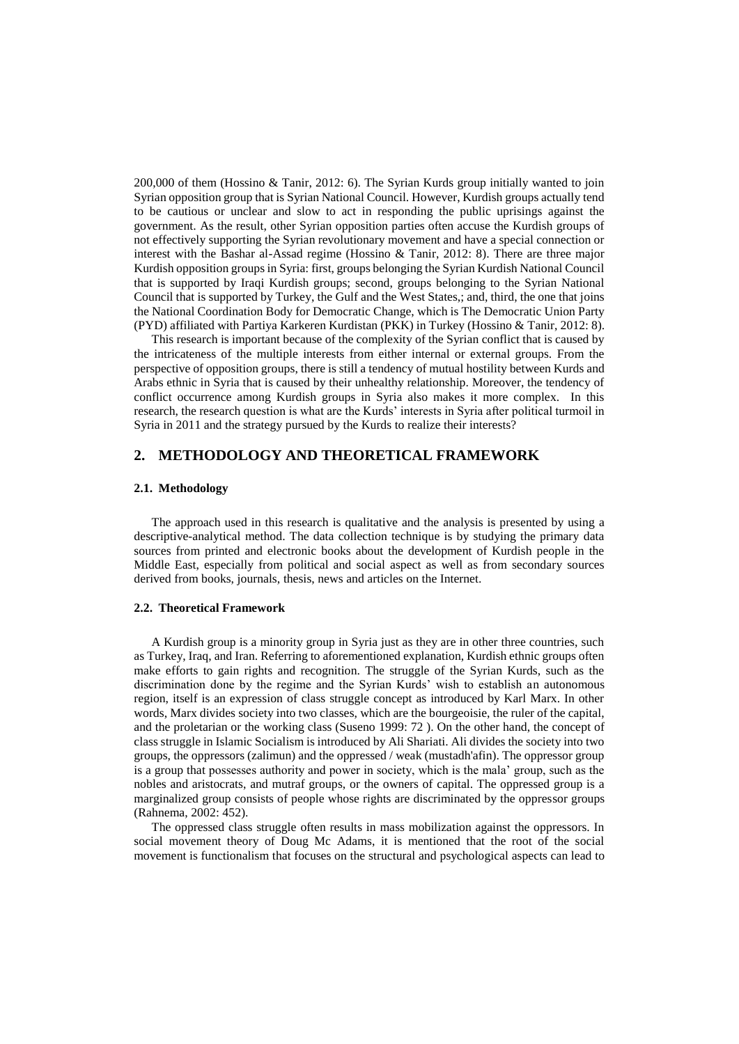200,000 of them (Hossino & Tanir, 2012: 6). The Syrian Kurds group initially wanted to join Syrian opposition group that is Syrian National Council. However, Kurdish groups actually tend to be cautious or unclear and slow to act in responding the public uprisings against the government. As the result, other Syrian opposition parties often accuse the Kurdish groups of not effectively supporting the Syrian revolutionary movement and have a special connection or interest with the Bashar al-Assad regime (Hossino & Tanir, 2012: 8). There are three major Kurdish opposition groups in Syria: first, groups belonging the Syrian Kurdish National Council that is supported by Iraqi Kurdish groups; second, groups belonging to the Syrian National Council that is supported by Turkey, the Gulf and the West States,; and, third, the one that joins the National Coordination Body for Democratic Change, which is The Democratic Union Party (PYD) affiliated with Partiya Karkeren Kurdistan (PKK) in Turkey (Hossino & Tanir, 2012: 8).

This research is important because of the complexity of the Syrian conflict that is caused by the intricateness of the multiple interests from either internal or external groups. From the perspective of opposition groups, there is still a tendency of mutual hostility between Kurds and Arabs ethnic in Syria that is caused by their unhealthy relationship. Moreover, the tendency of conflict occurrence among Kurdish groups in Syria also makes it more complex. In this research, the research question is what are the Kurds' interests in Syria after political turmoil in Syria in 2011 and the strategy pursued by the Kurds to realize their interests?

### **2. METHODOLOGY AND THEORETICAL FRAMEWORK**

#### **2.1. Methodology**

The approach used in this research is qualitative and the analysis is presented by using a descriptive-analytical method. The data collection technique is by studying the primary data sources from printed and electronic books about the development of Kurdish people in the Middle East, especially from political and social aspect as well as from secondary sources derived from books, journals, thesis, news and articles on the Internet.

#### **2.2. Theoretical Framework**

A Kurdish group is a minority group in Syria just as they are in other three countries, such as Turkey, Iraq, and Iran. Referring to aforementioned explanation, Kurdish ethnic groups often make efforts to gain rights and recognition. The struggle of the Syrian Kurds, such as the discrimination done by the regime and the Syrian Kurds' wish to establish an autonomous region, itself is an expression of class struggle concept as introduced by Karl Marx. In other words, Marx divides society into two classes, which are the bourgeoisie, the ruler of the capital, and the proletarian or the working class (Suseno 1999: 72 ). On the other hand, the concept of class struggle in Islamic Socialism is introduced by Ali Shariati. Ali divides the society into two groups, the oppressors (zalimun) and the oppressed / weak (mustadh'afin). The oppressor group is a group that possesses authority and power in society, which is the mala' group, such as the nobles and aristocrats, and mutraf groups, or the owners of capital. The oppressed group is a marginalized group consists of people whose rights are discriminated by the oppressor groups (Rahnema, 2002: 452).

The oppressed class struggle often results in mass mobilization against the oppressors. In social movement theory of Doug Mc Adams, it is mentioned that the root of the social movement is functionalism that focuses on the structural and psychological aspects can lead to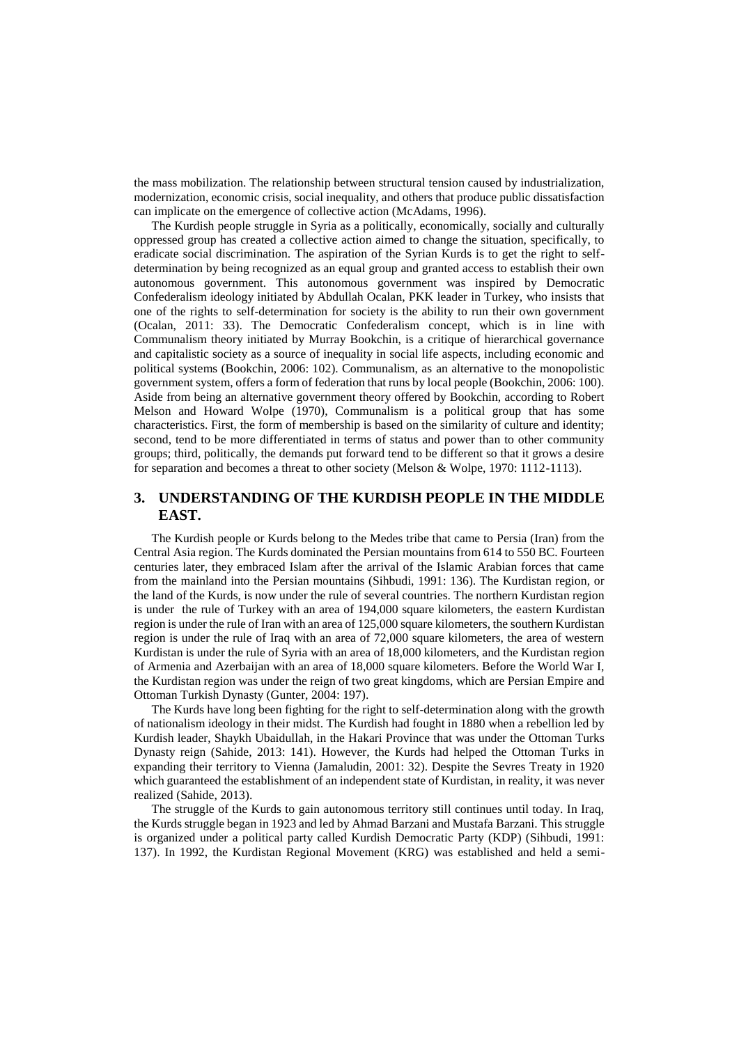the mass mobilization. The relationship between structural tension caused by industrialization, modernization, economic crisis, social inequality, and others that produce public dissatisfaction can implicate on the emergence of collective action (McAdams, 1996).

The Kurdish people struggle in Syria as a politically, economically, socially and culturally oppressed group has created a collective action aimed to change the situation, specifically, to eradicate social discrimination. The aspiration of the Syrian Kurds is to get the right to selfdetermination by being recognized as an equal group and granted access to establish their own autonomous government. This autonomous government was inspired by Democratic Confederalism ideology initiated by Abdullah Ocalan, PKK leader in Turkey, who insists that one of the rights to self-determination for society is the ability to run their own government (Ocalan, 2011: 33). The Democratic Confederalism concept, which is in line with Communalism theory initiated by Murray Bookchin, is a critique of hierarchical governance and capitalistic society as a source of inequality in social life aspects, including economic and political systems (Bookchin, 2006: 102). Communalism, as an alternative to the monopolistic government system, offers a form of federation that runs by local people (Bookchin, 2006: 100). Aside from being an alternative government theory offered by Bookchin, according to Robert Melson and Howard Wolpe (1970), Communalism is a political group that has some characteristics. First, the form of membership is based on the similarity of culture and identity; second, tend to be more differentiated in terms of status and power than to other community groups; third, politically, the demands put forward tend to be different so that it grows a desire for separation and becomes a threat to other society (Melson & Wolpe, 1970: 1112-1113).

# **3. UNDERSTANDING OF THE KURDISH PEOPLE IN THE MIDDLE EAST.**

The Kurdish people or Kurds belong to the Medes tribe that came to Persia (Iran) from the Central Asia region. The Kurds dominated the Persian mountains from 614 to 550 BC. Fourteen centuries later, they embraced Islam after the arrival of the Islamic Arabian forces that came from the mainland into the Persian mountains (Sihbudi, 1991: 136). The Kurdistan region, or the land of the Kurds, is now under the rule of several countries. The northern Kurdistan region is under the rule of Turkey with an area of 194,000 square kilometers, the eastern Kurdistan region is under the rule of Iran with an area of 125,000 square kilometers, the southern Kurdistan region is under the rule of Iraq with an area of 72,000 square kilometers, the area of western Kurdistan is under the rule of Syria with an area of 18,000 kilometers, and the Kurdistan region of Armenia and Azerbaijan with an area of 18,000 square kilometers. Before the World War I, the Kurdistan region was under the reign of two great kingdoms, which are Persian Empire and Ottoman Turkish Dynasty (Gunter, 2004: 197).

The Kurds have long been fighting for the right to self-determination along with the growth of nationalism ideology in their midst. The Kurdish had fought in 1880 when a rebellion led by Kurdish leader, Shaykh Ubaidullah, in the Hakari Province that was under the Ottoman Turks Dynasty reign (Sahide, 2013: 141). However, the Kurds had helped the Ottoman Turks in expanding their territory to Vienna (Jamaludin, 2001: 32). Despite the Sevres Treaty in 1920 which guaranteed the establishment of an independent state of Kurdistan, in reality, it was never realized (Sahide, 2013).

The struggle of the Kurds to gain autonomous territory still continues until today. In Iraq, the Kurds struggle began in 1923 and led by Ahmad Barzani and Mustafa Barzani. This struggle is organized under a political party called Kurdish Democratic Party (KDP) (Sihbudi, 1991: 137). In 1992, the Kurdistan Regional Movement (KRG) was established and held a semi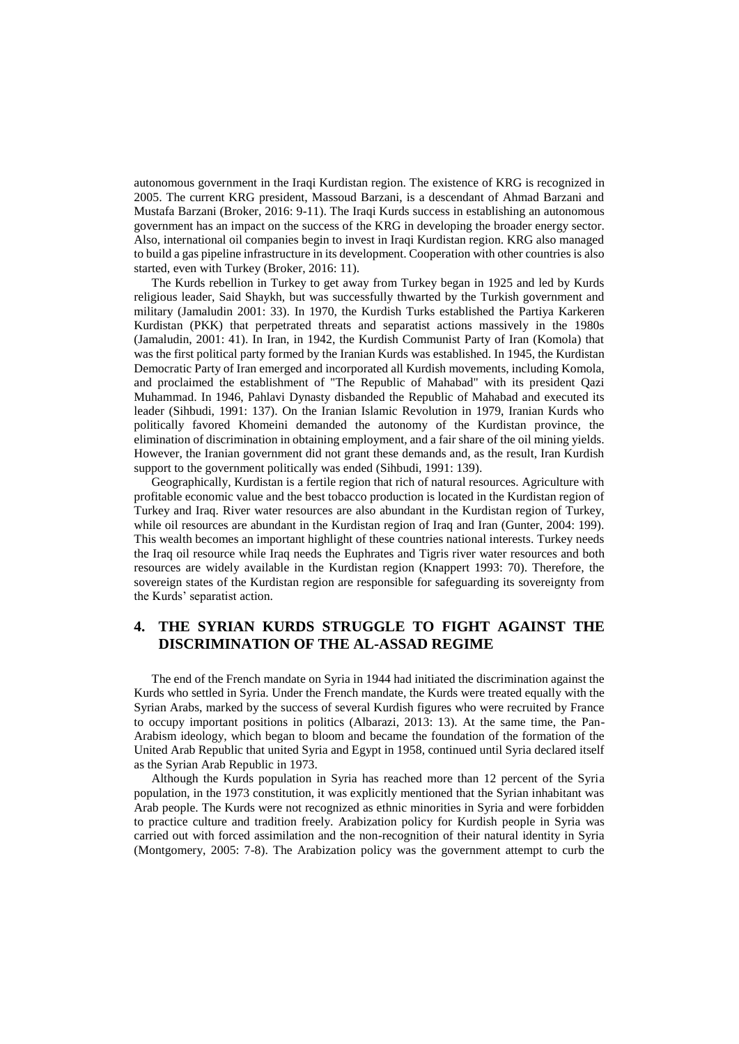autonomous government in the Iraqi Kurdistan region. The existence of KRG is recognized in 2005. The current KRG president, Massoud Barzani, is a descendant of Ahmad Barzani and Mustafa Barzani (Broker, 2016: 9-11). The Iraqi Kurds success in establishing an autonomous government has an impact on the success of the KRG in developing the broader energy sector. Also, international oil companies begin to invest in Iraqi Kurdistan region. KRG also managed to build a gas pipeline infrastructure in its development. Cooperation with other countries is also started, even with Turkey (Broker, 2016: 11).

The Kurds rebellion in Turkey to get away from Turkey began in 1925 and led by Kurds religious leader, Said Shaykh, but was successfully thwarted by the Turkish government and military (Jamaludin 2001: 33). In 1970, the Kurdish Turks established the Partiya Karkeren Kurdistan (PKK) that perpetrated threats and separatist actions massively in the 1980s (Jamaludin, 2001: 41). In Iran, in 1942, the Kurdish Communist Party of Iran (Komola) that was the first political party formed by the Iranian Kurds was established. In 1945, the Kurdistan Democratic Party of Iran emerged and incorporated all Kurdish movements, including Komola, and proclaimed the establishment of "The Republic of Mahabad" with its president Qazi Muhammad. In 1946, Pahlavi Dynasty disbanded the Republic of Mahabad and executed its leader (Sihbudi, 1991: 137). On the Iranian Islamic Revolution in 1979, Iranian Kurds who politically favored Khomeini demanded the autonomy of the Kurdistan province, the elimination of discrimination in obtaining employment, and a fair share of the oil mining yields. However, the Iranian government did not grant these demands and, as the result, Iran Kurdish support to the government politically was ended (Sihbudi, 1991: 139).

Geographically, Kurdistan is a fertile region that rich of natural resources. Agriculture with profitable economic value and the best tobacco production is located in the Kurdistan region of Turkey and Iraq. River water resources are also abundant in the Kurdistan region of Turkey, while oil resources are abundant in the Kurdistan region of Iraq and Iran (Gunter, 2004: 199). This wealth becomes an important highlight of these countries national interests. Turkey needs the Iraq oil resource while Iraq needs the Euphrates and Tigris river water resources and both resources are widely available in the Kurdistan region (Knappert 1993: 70). Therefore, the sovereign states of the Kurdistan region are responsible for safeguarding its sovereignty from the Kurds' separatist action.

# **4. THE SYRIAN KURDS STRUGGLE TO FIGHT AGAINST THE DISCRIMINATION OF THE AL-ASSAD REGIME**

The end of the French mandate on Syria in 1944 had initiated the discrimination against the Kurds who settled in Syria. Under the French mandate, the Kurds were treated equally with the Syrian Arabs, marked by the success of several Kurdish figures who were recruited by France to occupy important positions in politics (Albarazi, 2013: 13). At the same time, the Pan-Arabism ideology, which began to bloom and became the foundation of the formation of the United Arab Republic that united Syria and Egypt in 1958, continued until Syria declared itself as the Syrian Arab Republic in 1973.

Although the Kurds population in Syria has reached more than 12 percent of the Syria population, in the 1973 constitution, it was explicitly mentioned that the Syrian inhabitant was Arab people. The Kurds were not recognized as ethnic minorities in Syria and were forbidden to practice culture and tradition freely. Arabization policy for Kurdish people in Syria was carried out with forced assimilation and the non-recognition of their natural identity in Syria (Montgomery, 2005: 7-8). The Arabization policy was the government attempt to curb the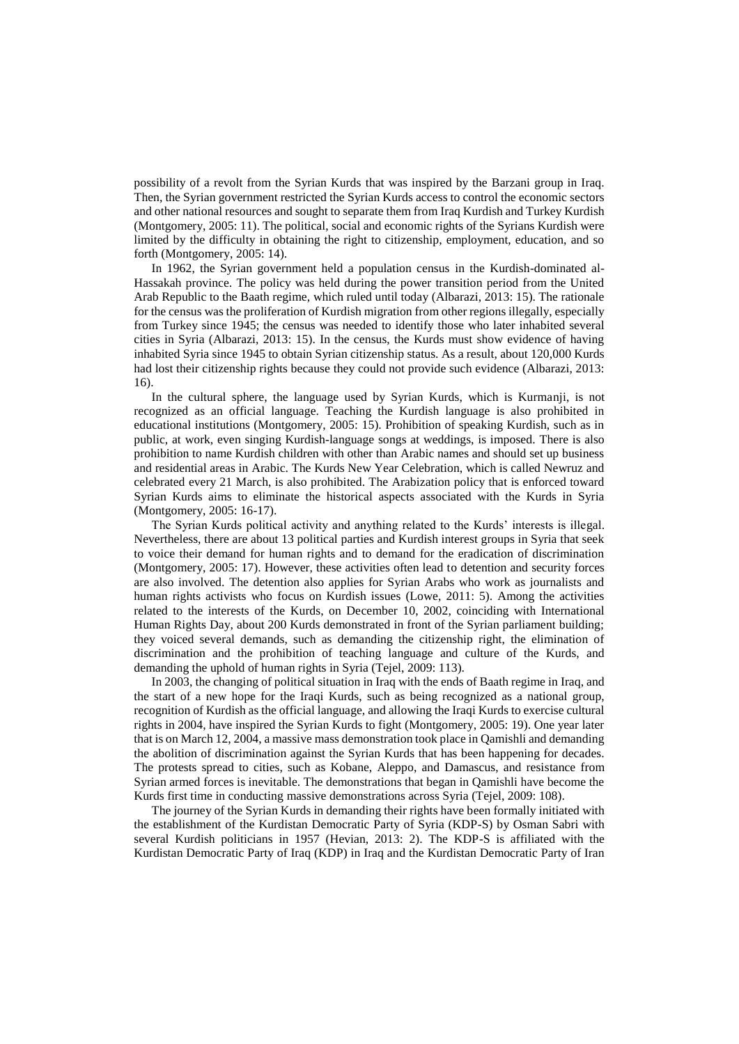possibility of a revolt from the Syrian Kurds that was inspired by the Barzani group in Iraq. Then, the Syrian government restricted the Syrian Kurds access to control the economic sectors and other national resources and sought to separate them from Iraq Kurdish and Turkey Kurdish (Montgomery, 2005: 11). The political, social and economic rights of the Syrians Kurdish were limited by the difficulty in obtaining the right to citizenship, employment, education, and so forth (Montgomery, 2005: 14).

In 1962, the Syrian government held a population census in the Kurdish-dominated al-Hassakah province. The policy was held during the power transition period from the United Arab Republic to the Baath regime, which ruled until today (Albarazi, 2013: 15). The rationale for the census was the proliferation of Kurdish migration from other regions illegally, especially from Turkey since 1945; the census was needed to identify those who later inhabited several cities in Syria (Albarazi, 2013: 15). In the census, the Kurds must show evidence of having inhabited Syria since 1945 to obtain Syrian citizenship status. As a result, about 120,000 Kurds had lost their citizenship rights because they could not provide such evidence (Albarazi, 2013: 16).

In the cultural sphere, the language used by Syrian Kurds, which is Kurmanji, is not recognized as an official language. Teaching the Kurdish language is also prohibited in educational institutions (Montgomery, 2005: 15). Prohibition of speaking Kurdish, such as in public, at work, even singing Kurdish-language songs at weddings, is imposed. There is also prohibition to name Kurdish children with other than Arabic names and should set up business and residential areas in Arabic. The Kurds New Year Celebration, which is called Newruz and celebrated every 21 March, is also prohibited. The Arabization policy that is enforced toward Syrian Kurds aims to eliminate the historical aspects associated with the Kurds in Syria (Montgomery, 2005: 16-17).

The Syrian Kurds political activity and anything related to the Kurds' interests is illegal. Nevertheless, there are about 13 political parties and Kurdish interest groups in Syria that seek to voice their demand for human rights and to demand for the eradication of discrimination (Montgomery, 2005: 17). However, these activities often lead to detention and security forces are also involved. The detention also applies for Syrian Arabs who work as journalists and human rights activists who focus on Kurdish issues (Lowe, 2011: 5). Among the activities related to the interests of the Kurds, on December 10, 2002, coinciding with International Human Rights Day, about 200 Kurds demonstrated in front of the Syrian parliament building; they voiced several demands, such as demanding the citizenship right, the elimination of discrimination and the prohibition of teaching language and culture of the Kurds, and demanding the uphold of human rights in Syria (Tejel, 2009: 113).

In 2003, the changing of political situation in Iraq with the ends of Baath regime in Iraq, and the start of a new hope for the Iraqi Kurds, such as being recognized as a national group, recognition of Kurdish as the official language, and allowing the Iraqi Kurds to exercise cultural rights in 2004, have inspired the Syrian Kurds to fight (Montgomery, 2005: 19). One year later that is on March 12, 2004, a massive mass demonstration took place in Qamishli and demanding the abolition of discrimination against the Syrian Kurds that has been happening for decades. The protests spread to cities, such as Kobane, Aleppo, and Damascus, and resistance from Syrian armed forces is inevitable. The demonstrations that began in Qamishli have become the Kurds first time in conducting massive demonstrations across Syria (Tejel, 2009: 108).

The journey of the Syrian Kurds in demanding their rights have been formally initiated with the establishment of the Kurdistan Democratic Party of Syria (KDP-S) by Osman Sabri with several Kurdish politicians in 1957 (Hevian, 2013: 2). The KDP-S is affiliated with the Kurdistan Democratic Party of Iraq (KDP) in Iraq and the Kurdistan Democratic Party of Iran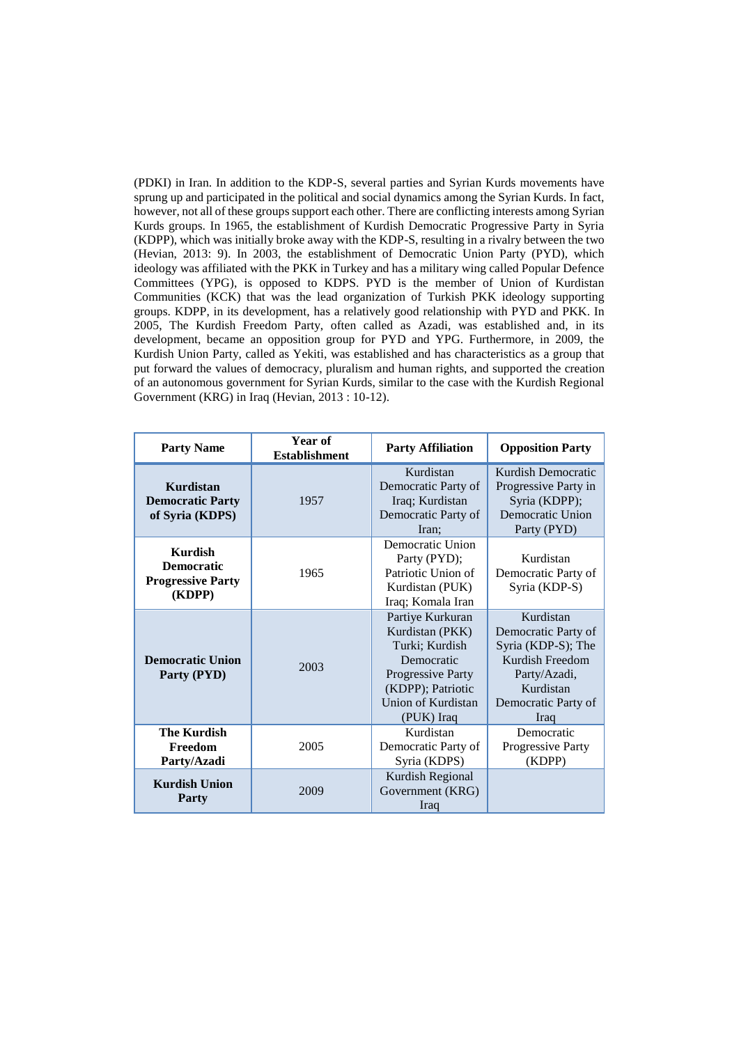(PDKI) in Iran. In addition to the KDP-S, several parties and Syrian Kurds movements have sprung up and participated in the political and social dynamics among the Syrian Kurds. In fact, however, not all of these groups support each other. There are conflicting interests among Syrian Kurds groups. In 1965, the establishment of Kurdish Democratic Progressive Party in Syria (KDPP), which was initially broke away with the KDP-S, resulting in a rivalry between the two (Hevian, 2013: 9). In 2003, the establishment of Democratic Union Party (PYD), which ideology was affiliated with the PKK in Turkey and has a military wing called Popular Defence Committees (YPG), is opposed to KDPS. PYD is the member of Union of Kurdistan Communities (KCK) that was the lead organization of Turkish PKK ideology supporting groups. KDPP, in its development, has a relatively good relationship with PYD and PKK. In 2005, The Kurdish Freedom Party, often called as Azadi, was established and, in its development, became an opposition group for PYD and YPG. Furthermore, in 2009, the Kurdish Union Party, called as Yekiti, was established and has characteristics as a group that put forward the values of democracy, pluralism and human rights, and supported the creation of an autonomous government for Syrian Kurds, similar to the case with the Kurdish Regional Government (KRG) in Iraq (Hevian, 2013 : 10-12).

| <b>Party Name</b>                                                         | Year of<br><b>Establishment</b> | <b>Party Affiliation</b>                                                                                                                          | <b>Opposition Party</b>                                                                                                               |
|---------------------------------------------------------------------------|---------------------------------|---------------------------------------------------------------------------------------------------------------------------------------------------|---------------------------------------------------------------------------------------------------------------------------------------|
| Kurdistan<br><b>Democratic Party</b><br>of Syria (KDPS)                   | 1957                            | Kurdistan<br>Democratic Party of<br>Iraq; Kurdistan<br>Democratic Party of<br>Iran:                                                               | Kurdish Democratic<br>Progressive Party in<br>Syria (KDPP);<br>Democratic Union<br>Party (PYD)                                        |
| <b>Kurdish</b><br><b>Democratic</b><br><b>Progressive Party</b><br>(KDPP) | 1965                            | Democratic Union<br>Party (PYD);<br>Patriotic Union of<br>Kurdistan (PUK)<br>Iraq; Komala Iran                                                    | Kurdistan<br>Democratic Party of<br>Syria (KDP-S)                                                                                     |
| <b>Democratic Union</b><br>Party (PYD)                                    | 2003                            | Partiye Kurkuran<br>Kurdistan (PKK)<br>Turki; Kurdish<br>Democratic<br>Progressive Party<br>(KDPP); Patriotic<br>Union of Kurdistan<br>(PUK) Iraq | Kurdistan<br>Democratic Party of<br>Syria (KDP-S); The<br>Kurdish Freedom<br>Party/Azadi,<br>Kurdistan<br>Democratic Party of<br>Iraq |
| <b>The Kurdish</b><br>Freedom<br>Party/Azadi                              | 2005                            | Kurdistan<br>Democratic Party of<br>Syria (KDPS)                                                                                                  | Democratic<br>Progressive Party<br>(KDPP)                                                                                             |
| <b>Kurdish Union</b><br><b>Party</b>                                      | 2009                            | Kurdish Regional<br>Government (KRG)<br>Iraq                                                                                                      |                                                                                                                                       |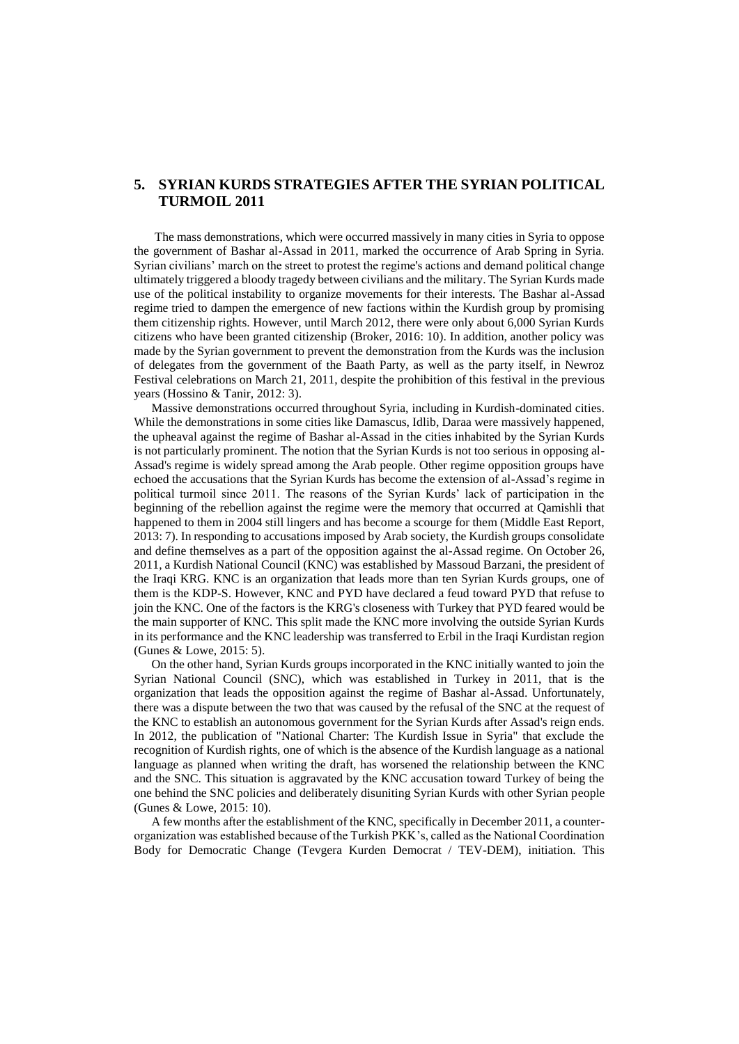# **5. SYRIAN KURDS STRATEGIES AFTER THE SYRIAN POLITICAL TURMOIL 2011**

The mass demonstrations, which were occurred massively in many cities in Syria to oppose the government of Bashar al-Assad in 2011, marked the occurrence of Arab Spring in Syria. Syrian civilians' march on the street to protest the regime's actions and demand political change ultimately triggered a bloody tragedy between civilians and the military. The Syrian Kurds made use of the political instability to organize movements for their interests. The Bashar al-Assad regime tried to dampen the emergence of new factions within the Kurdish group by promising them citizenship rights. However, until March 2012, there were only about 6,000 Syrian Kurds citizens who have been granted citizenship (Broker, 2016: 10). In addition, another policy was made by the Syrian government to prevent the demonstration from the Kurds was the inclusion of delegates from the government of the Baath Party, as well as the party itself, in Newroz Festival celebrations on March 21, 2011, despite the prohibition of this festival in the previous years (Hossino & Tanir, 2012: 3).

Massive demonstrations occurred throughout Syria, including in Kurdish-dominated cities. While the demonstrations in some cities like Damascus, Idlib, Daraa were massively happened, the upheaval against the regime of Bashar al-Assad in the cities inhabited by the Syrian Kurds is not particularly prominent. The notion that the Syrian Kurds is not too serious in opposing al-Assad's regime is widely spread among the Arab people. Other regime opposition groups have echoed the accusations that the Syrian Kurds has become the extension of al-Assad's regime in political turmoil since 2011. The reasons of the Syrian Kurds' lack of participation in the beginning of the rebellion against the regime were the memory that occurred at Qamishli that happened to them in 2004 still lingers and has become a scourge for them (Middle East Report, 2013: 7). In responding to accusations imposed by Arab society, the Kurdish groups consolidate and define themselves as a part of the opposition against the al-Assad regime. On October 26, 2011, a Kurdish National Council (KNC) was established by Massoud Barzani, the president of the Iraqi KRG. KNC is an organization that leads more than ten Syrian Kurds groups, one of them is the KDP-S. However, KNC and PYD have declared a feud toward PYD that refuse to join the KNC. One of the factors is the KRG's closeness with Turkey that PYD feared would be the main supporter of KNC. This split made the KNC more involving the outside Syrian Kurds in its performance and the KNC leadership was transferred to Erbil in the Iraqi Kurdistan region (Gunes & Lowe, 2015: 5).

On the other hand, Syrian Kurds groups incorporated in the KNC initially wanted to join the Syrian National Council (SNC), which was established in Turkey in 2011, that is the organization that leads the opposition against the regime of Bashar al-Assad. Unfortunately, there was a dispute between the two that was caused by the refusal of the SNC at the request of the KNC to establish an autonomous government for the Syrian Kurds after Assad's reign ends. In 2012, the publication of "National Charter: The Kurdish Issue in Syria" that exclude the recognition of Kurdish rights, one of which is the absence of the Kurdish language as a national language as planned when writing the draft, has worsened the relationship between the KNC and the SNC. This situation is aggravated by the KNC accusation toward Turkey of being the one behind the SNC policies and deliberately disuniting Syrian Kurds with other Syrian people (Gunes & Lowe, 2015: 10).

A few months after the establishment of the KNC, specifically in December 2011, a counterorganization was established because of the Turkish PKK's, called as the National Coordination Body for Democratic Change (Tevgera Kurden Democrat / TEV-DEM), initiation. This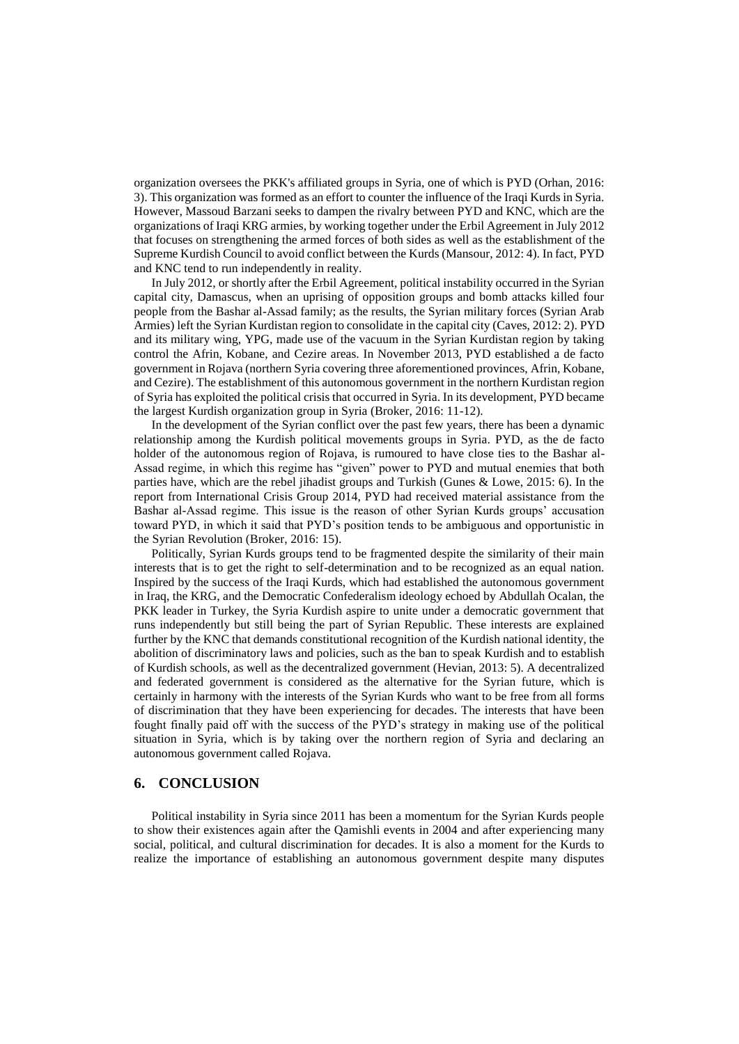organization oversees the PKK's affiliated groups in Syria, one of which is PYD (Orhan, 2016: 3). This organization was formed as an effort to counter the influence of the Iraqi Kurds in Syria. However, Massoud Barzani seeks to dampen the rivalry between PYD and KNC, which are the organizations of Iraqi KRG armies, by working together under the Erbil Agreement in July 2012 that focuses on strengthening the armed forces of both sides as well as the establishment of the Supreme Kurdish Council to avoid conflict between the Kurds (Mansour, 2012: 4). In fact, PYD and KNC tend to run independently in reality.

In July 2012, or shortly after the Erbil Agreement, political instability occurred in the Syrian capital city, Damascus, when an uprising of opposition groups and bomb attacks killed four people from the Bashar al-Assad family; as the results, the Syrian military forces (Syrian Arab Armies) left the Syrian Kurdistan region to consolidate in the capital city (Caves, 2012: 2). PYD and its military wing, YPG, made use of the vacuum in the Syrian Kurdistan region by taking control the Afrin, Kobane, and Cezire areas. In November 2013, PYD established a de facto government in Rojava (northern Syria covering three aforementioned provinces, Afrin, Kobane, and Cezire). The establishment of this autonomous government in the northern Kurdistan region of Syria has exploited the political crisis that occurred in Syria. In its development, PYD became the largest Kurdish organization group in Syria (Broker, 2016: 11-12).

In the development of the Syrian conflict over the past few years, there has been a dynamic relationship among the Kurdish political movements groups in Syria. PYD, as the de facto holder of the autonomous region of Rojava, is rumoured to have close ties to the Bashar al-Assad regime, in which this regime has "given" power to PYD and mutual enemies that both parties have, which are the rebel jihadist groups and Turkish (Gunes & Lowe, 2015: 6). In the report from International Crisis Group 2014, PYD had received material assistance from the Bashar al-Assad regime. This issue is the reason of other Syrian Kurds groups' accusation toward PYD, in which it said that PYD's position tends to be ambiguous and opportunistic in the Syrian Revolution (Broker, 2016: 15).

Politically, Syrian Kurds groups tend to be fragmented despite the similarity of their main interests that is to get the right to self-determination and to be recognized as an equal nation. Inspired by the success of the Iraqi Kurds, which had established the autonomous government in Iraq, the KRG, and the Democratic Confederalism ideology echoed by Abdullah Ocalan, the PKK leader in Turkey, the Syria Kurdish aspire to unite under a democratic government that runs independently but still being the part of Syrian Republic. These interests are explained further by the KNC that demands constitutional recognition of the Kurdish national identity, the abolition of discriminatory laws and policies, such as the ban to speak Kurdish and to establish of Kurdish schools, as well as the decentralized government (Hevian, 2013: 5). A decentralized and federated government is considered as the alternative for the Syrian future, which is certainly in harmony with the interests of the Syrian Kurds who want to be free from all forms of discrimination that they have been experiencing for decades. The interests that have been fought finally paid off with the success of the PYD's strategy in making use of the political situation in Syria, which is by taking over the northern region of Syria and declaring an autonomous government called Rojava.

### **6. CONCLUSION**

Political instability in Syria since 2011 has been a momentum for the Syrian Kurds people to show their existences again after the Qamishli events in 2004 and after experiencing many social, political, and cultural discrimination for decades. It is also a moment for the Kurds to realize the importance of establishing an autonomous government despite many disputes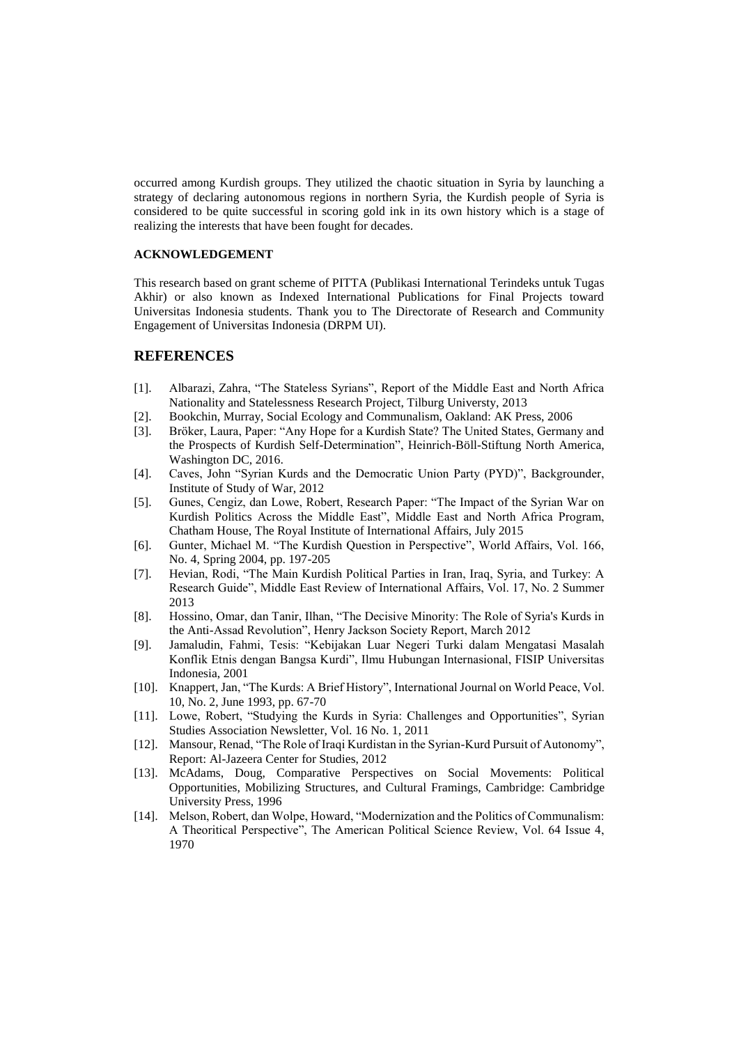occurred among Kurdish groups. They utilized the chaotic situation in Syria by launching a strategy of declaring autonomous regions in northern Syria, the Kurdish people of Syria is considered to be quite successful in scoring gold ink in its own history which is a stage of realizing the interests that have been fought for decades.

#### **ACKNOWLEDGEMENT**

This research based on grant scheme of PITTA (Publikasi International Terindeks untuk Tugas Akhir) or also known as Indexed International Publications for Final Projects toward Universitas Indonesia students. Thank you to The Directorate of Research and Community Engagement of Universitas Indonesia (DRPM UI).

#### **REFERENCES**

- [1]. Albarazi, Zahra, "The Stateless Syrians", Report of the Middle East and North Africa Nationality and Statelessness Research Project, Tilburg Universty, 2013
- [2]. Bookchin, Murray, Social Ecology and Communalism, Oakland: AK Press, 2006
- [3]. Bröker, Laura, Paper: "Any Hope for a Kurdish State? The United States, Germany and the Prospects of Kurdish Self-Determination", Heinrich-Böll-Stiftung North America, Washington DC, 2016.
- [4]. Caves, John "Syrian Kurds and the Democratic Union Party (PYD)", Backgrounder, Institute of Study of War, 2012
- [5]. Gunes, Cengiz, dan Lowe, Robert, Research Paper: "The Impact of the Syrian War on Kurdish Politics Across the Middle East", Middle East and North Africa Program, Chatham House, The Royal Institute of International Affairs, July 2015
- [6]. Gunter, Michael M. "The Kurdish Question in Perspective", World Affairs, Vol. 166, No. 4, Spring 2004, pp. 197-205
- [7]. Hevian, Rodi, "The Main Kurdish Political Parties in Iran, Iraq, Syria, and Turkey: A Research Guide", Middle East Review of International Affairs, Vol. 17, No. 2 Summer 2013
- [8]. Hossino, Omar, dan Tanir, Ilhan, "The Decisive Minority: The Role of Syria's Kurds in the Anti-Assad Revolution", Henry Jackson Society Report, March 2012
- [9]. Jamaludin, Fahmi, Tesis: "Kebijakan Luar Negeri Turki dalam Mengatasi Masalah Konflik Etnis dengan Bangsa Kurdi", Ilmu Hubungan Internasional, FISIP Universitas Indonesia, 2001
- [10]. Knappert, Jan, "The Kurds: A Brief History", International Journal on World Peace, Vol. 10, No. 2, June 1993, pp. 67-70
- [11]. Lowe, Robert, "Studying the Kurds in Syria: Challenges and Opportunities", Syrian Studies Association Newsletter, Vol. 16 No. 1, 2011
- [12]. Mansour, Renad, "The Role of Iraqi Kurdistan in the Syrian-Kurd Pursuit of Autonomy", Report: Al-Jazeera Center for Studies, 2012
- [13]. McAdams, Doug, Comparative Perspectives on Social Movements: Political Opportunities, Mobilizing Structures, and Cultural Framings, Cambridge: Cambridge University Press, 1996
- [14]. Melson, Robert, dan Wolpe, Howard, "Modernization and the Politics of Communalism: A Theoritical Perspective", The American Political Science Review, Vol. 64 Issue 4, 1970